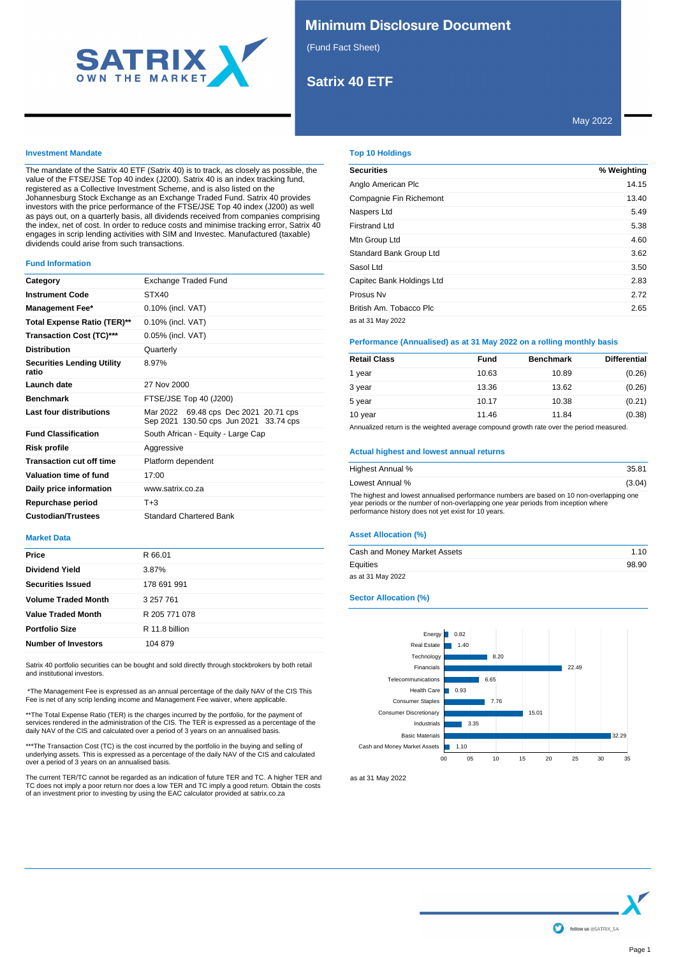

# **Minimum Disclosure Document**

(Fund Fact Sheet)

# **Satrix 40 ETF**

# May 2022

## **Investment Mandate**

The mandate of the Satrix 40 ETF (Satrix 40) is to track, as closely as possible, the value of the FTSE/JSE Top 40 index (J200). Satrix 40 is an index tracking fund, registered as a Collective Investment Scheme, and is also listed on the Johannesburg Stock Exchange as an Exchange Traded Fund. Satrix 40 provides investors with the price performance of the FTSE/JSE Top 40 index (J200) as well as pays out, on a quarterly basis, all dividends received from companies comprising the index, net of cost. In order to reduce costs and minimise tracking error, Satrix 40 engages in scrip lending activities with SIM and Investec. Manufactured (taxable) dividends could arise from such transactions.

#### **Fund Information**

| Category                                   | <b>Exchange Traded Fund</b>                                                     |  |  |
|--------------------------------------------|---------------------------------------------------------------------------------|--|--|
| <b>Instrument Code</b>                     | STX40                                                                           |  |  |
| <b>Management Fee*</b>                     | 0.10% (incl. VAT)                                                               |  |  |
| Total Expense Ratio (TER)**                | 0.10% (incl. VAT)                                                               |  |  |
| <b>Transaction Cost (TC)***</b>            | 0.05% (incl. VAT)                                                               |  |  |
| <b>Distribution</b>                        | Quarterly                                                                       |  |  |
| <b>Securities Lending Utility</b><br>ratio | 8.97%                                                                           |  |  |
| Launch date                                | 27 Nov 2000                                                                     |  |  |
| <b>Benchmark</b>                           | FTSE/JSE Top 40 (J200)                                                          |  |  |
| Last four distributions                    | Mar 2022 69.48 cps Dec 2021 20.71 cps<br>Sep 2021 130.50 cps Jun 2021 33.74 cps |  |  |
| <b>Fund Classification</b>                 | South African - Equity - Large Cap                                              |  |  |
| Risk profile                               | Aggressive                                                                      |  |  |
| <b>Transaction cut off time</b>            | Platform dependent                                                              |  |  |
| Valuation time of fund                     | 17:00                                                                           |  |  |
| Daily price information                    | www.satrix.co.za                                                                |  |  |
| Repurchase period                          | $T + 3$                                                                         |  |  |
| <b>Custodian/Trustees</b>                  | <b>Standard Chartered Bank</b>                                                  |  |  |

#### **Market Data**

| Price<br>R 66.01<br><b>Dividend Yield</b><br>3.87%<br><b>Securities Issued</b><br>178 691 991<br><b>Volume Traded Month</b><br>3 257 761<br><b>Value Traded Month</b><br>R 205 771 078<br><b>Portfolio Size</b><br>R 11.8 billion<br><b>Number of Investors</b><br>104 879 |  |
|----------------------------------------------------------------------------------------------------------------------------------------------------------------------------------------------------------------------------------------------------------------------------|--|
|                                                                                                                                                                                                                                                                            |  |
|                                                                                                                                                                                                                                                                            |  |
|                                                                                                                                                                                                                                                                            |  |
|                                                                                                                                                                                                                                                                            |  |
|                                                                                                                                                                                                                                                                            |  |
|                                                                                                                                                                                                                                                                            |  |
|                                                                                                                                                                                                                                                                            |  |

Satrix 40 portfolio securities can be bought and sold directly through stockbrokers by both retail and institutional investors.

 \*The Management Fee is expressed as an annual percentage of the daily NAV of the CIS This Fee is net of any scrip lending income and Management Fee waiver, where applicable.

\*\*The Total Expense Ratio (TER) is the charges incurred by the portfolio, for the payment of<br>services rendered in the administration of the CIS. The TER is expressed as a percentage of the<br>daily NAV of the CIS and calculat

\*\*\*The Transaction Cost (TC) is the cost incurred by the portfolio in the buying and selling of<br>underlying assets. This is expressed as a percentage of the daily NAV of the CIS and calculated<br>over a period of 3 years on an

The current TER/TC cannot be regarded as an indication of future TER and TC. A higher TER and<br>TC does not imply a poor return nor does a low TER and TC imply a good return. Obtain the costs<br>of an investment prior to invest

# **Top 10 Holdings**

| <b>Securities</b>         | % Weighting |
|---------------------------|-------------|
| Anglo American Plc        | 14.15       |
| Compagnie Fin Richemont   | 13.40       |
| Naspers Ltd               | 5.49        |
| Firstrand Ltd             | 5.38        |
| Mtn Group Ltd             | 4.60        |
| Standard Bank Group Ltd   | 3.62        |
| Sasol Ltd                 | 3.50        |
| Capitec Bank Holdings Ltd | 2.83        |
| Prosus Nv                 | 2.72        |
| British Am. Tobacco Plc   | 2.65        |
| as at 31 May 2022         |             |

## **Performance (Annualised) as at 31 May 2022 on a rolling monthly basis**

| <b>Retail Class</b> | Fund  | <b>Benchmark</b> | <b>Differential</b> |
|---------------------|-------|------------------|---------------------|
| 1 year              | 10.63 | 10.89            | (0.26)              |
| 3 year              | 13.36 | 13.62            | (0.26)              |
| 5 year              | 10.17 | 10.38            | (0.21)              |
| 10 year             | 11.46 | 11.84            | (0.38)              |

Annualized return is the weighted average compound growth rate over the period measured.

### **Actual highest and lowest annual returns**

| Highest Annual %                                                                                                                                                                                                                         | 35.81  |
|------------------------------------------------------------------------------------------------------------------------------------------------------------------------------------------------------------------------------------------|--------|
| Lowest Annual %                                                                                                                                                                                                                          | (3.04) |
| The highest and lowest annualised performance numbers are based on 10 non-overlapping one<br>year periods or the number of non-overlapping one year periods from inception where<br>performance history does not yet exist for 10 years. |        |

## **Asset Allocation (%)**

| Cash and Money Market Assets | 1.10  |
|------------------------------|-------|
| Equities                     | 98.90 |
| as at 31 May 2022            |       |

### **Sector Allocation (%)**



as at 31 May 2022